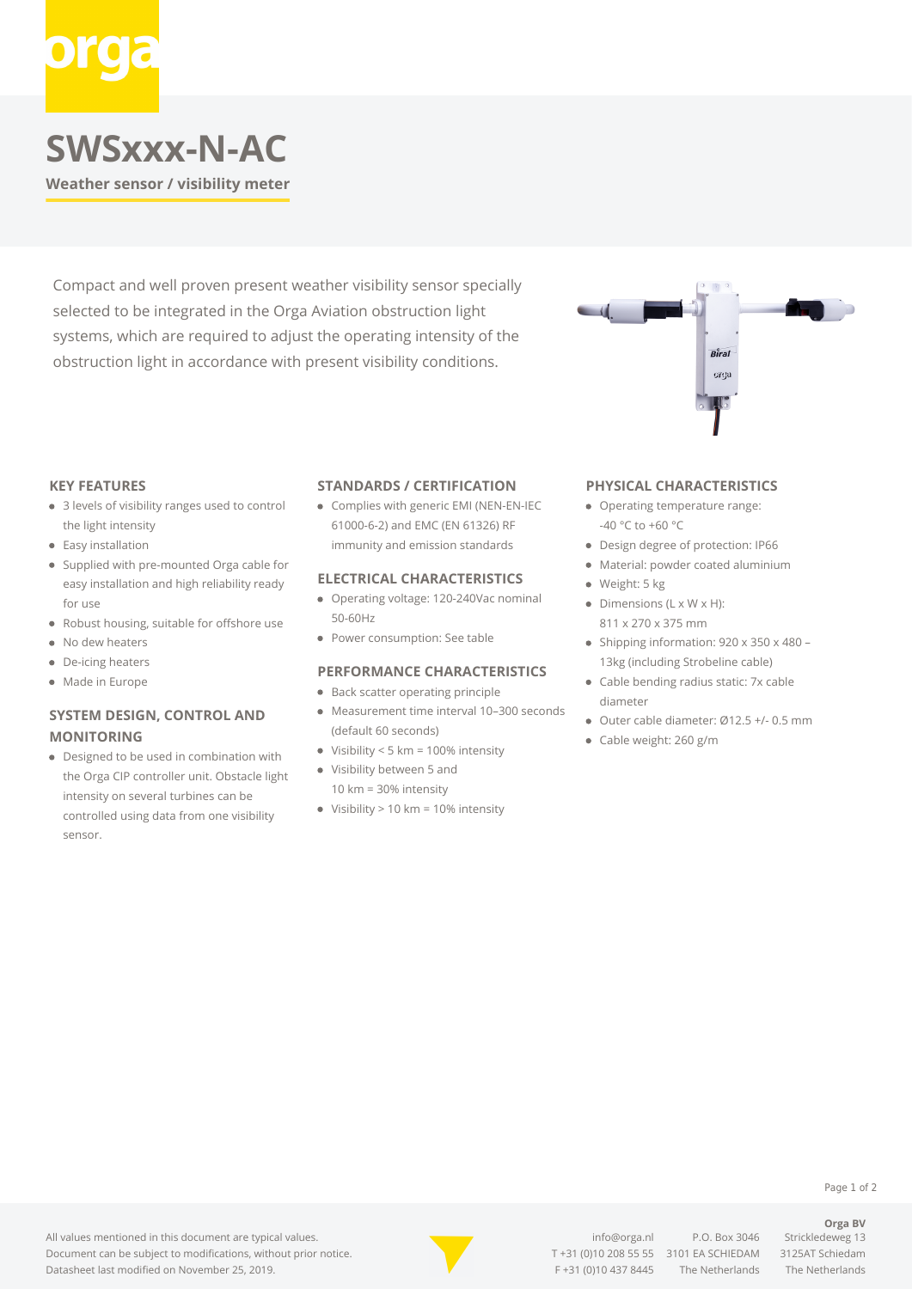# **SWSxxx-N-AC**

**Weather sensor / visibility meter**

Compact and well proven present weather visibility sensor specially selected to be integrated in the Orga Aviation obstruction light systems, which are required to adjust the operating intensity of the obstruction light in accordance with present visibility conditions.



#### **KEY FEATURES**

- 3 levels of visibility ranges used to control the light intensity
- Easy installation
- Supplied with pre-mounted Orga cable for easy installation and high reliability ready for use
- Robust housing, suitable for offshore use
- $\bullet$ No dew heaters
- De-icing heaters
- Made in Europe

### **SYSTEM DESIGN, CONTROL AND MONITORING**

Designed to be used in combination with the Orga CIP controller unit. Obstacle light intensity on several turbines can be controlled using data from one visibility sensor.

#### **STANDARDS / CERTIFICATION**

Complies with generic EMI (NEN-EN-IEC 61000-6-2) and EMC (EN 61326) RF immunity and emission standards

#### **ELECTRICAL CHARACTERISTICS**

- Operating voltage: 120-240Vac nominal 50-60Hz
- Power consumption: See table

#### **PERFORMANCE CHARACTERISTICS**

- Back scatter operating principle
- Measurement time interval 10–300 seconds (default 60 seconds)
- $\bullet$  Visibility < 5 km = 100% intensity
- Visibility between 5 and 10 km = 30% intensity
- $\bullet$  Visibility > 10 km = 10% intensity

#### **PHYSICAL CHARACTERISTICS**

- Operating temperature range: -40 °C to +60 °C
- Design degree of protection: IP66
- Material: powder coated aluminium
- Weight: 5 kg
- Dimensions (L x W x H): 811 x 270 x 375 mm
- Shipping information: 920 x 350 x 480 -13kg (including Strobeline cable)
- Cable bending radius static: 7x cable diameter
- Outer cable diameter: Ø12.5 +/- 0.5 mm
- Cable weight: 260 g/m



[info@orga.nl](mailto:info@orga.nl) P.O. Box 3046 Strickledeweg 13 T [+31 \(0\)10 208 55 55](#page--1-0) 3101 EA SCHIEDAM 3125AT Schiedam F +31 (0)10 437 8445 The Netherlands The Netherlands

### **Orga BV**

Page 1 of 2